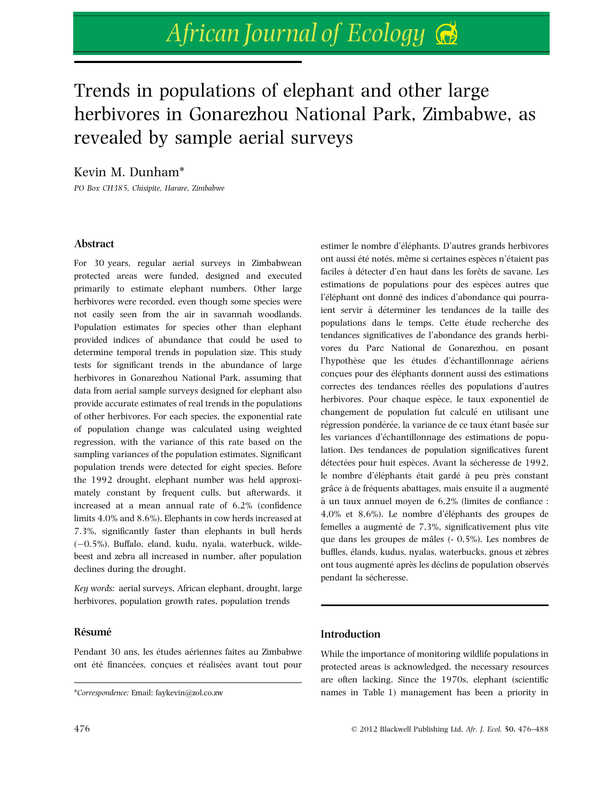# African Journal of Ecology

# Trends in populations of elephant and other large herbivores in Gonarezhou National Park, Zimbabwe, as revealed by sample aerial surveys

Kevin M. Dunham\*

PO Box CH385, Chisipite, Harare, Zimbabwe

# Abstract

For 30 years, regular aerial surveys in Zimbabwean protected areas were funded, designed and executed primarily to estimate elephant numbers. Other large herbivores were recorded, even though some species were not easily seen from the air in savannah woodlands. Population estimates for species other than elephant provided indices of abundance that could be used to determine temporal trends in population size. This study tests for significant trends in the abundance of large herbivores in Gonarezhou National Park, assuming that data from aerial sample surveys designed for elephant also provide accurate estimates of real trends in the populations of other herbivores. For each species, the exponential rate of population change was calculated using weighted regression, with the variance of this rate based on the sampling variances of the population estimates. Significant population trends were detected for eight species. Before the 1992 drought, elephant number was held approximately constant by frequent culls, but afterwards, it increased at a mean annual rate of 6.2% (confidence limits 4.0% and 8.6%). Elephants in cow herds increased at 7.3%, significantly faster than elephants in bull herds  $(-0.5%)$ . Buffalo, eland, kudu, nyala, waterbuck, wildebeest and zebra all increased in number, after population declines during the drought.

Key words: aerial surveys, African elephant, drought, large herbivores, population growth rates, population trends

# Résumé

Pendant 30 ans, les études aériennes faites au Zimbabwe ont été financées, concues et réalisées avant tout pour estimer le nombre d'éléphants. D'autres grands herbivores ont aussi été notés, même si certaines espèces n'étaient pas faciles à détecter d'en haut dans les forêts de savane. Les estimations de populations pour des espèces autres que l'éléphant ont donné des indices d'abondance qui pourraient servir à déterminer les tendances de la taille des populations dans le temps. Cette étude recherche des tendances significatives de l'abondance des grands herbivores du Parc National de Gonarezhou, en posant l'hypothèse que les études d'échantillonnage aériens concues pour des éléphants donnent aussi des estimations correctes des tendances réelles des populations d'autres herbivores. Pour chaque espèce, le taux exponentiel de changement de population fut calculé en utilisant une régression pondérée, la variance de ce taux étant basée sur les variances d'échantillonnage des estimations de population. Des tendances de population significatives furent détectées pour huit espèces. Avant la sécheresse de 1992, le nombre d'éléphants était gardé à peu près constant grâce à de fréquents abattages, mais ensuite il a augmenté a` un taux annuel moyen de 6,2% (limites de confiance :  $4,0\%$  et  $8,6\%$ ). Le nombre d'éléphants des groupes de femelles a augmenté de 7,3%, significativement plus vite que dans les groupes de mâles  $(-0.5\%)$ . Les nombres de buffles, élands, kudus, nyalas, waterbucks, gnous et zèbres ont tous augmenté après les déclins de population observés pendant la sécheresse.

# Introduction

While the importance of monitoring wildlife populations in protected areas is acknowledged, the necessary resources are often lacking. Since the 1970s, elephant (scientific \*Correspondence: Email: faykevin@zol.co.zw names in Table 1) management has been a priority in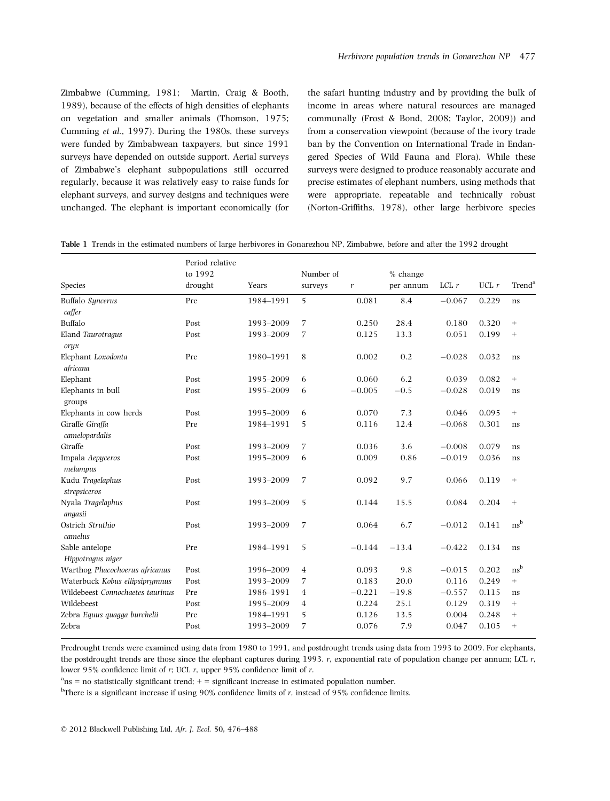Zimbabwe (Cumming, 1981; Martin, Craig & Booth, 1989), because of the effects of high densities of elephants on vegetation and smaller animals (Thomson, 1975; Cumming et al., 1997). During the 1980s, these surveys were funded by Zimbabwean taxpayers, but since 1991 surveys have depended on outside support. Aerial surveys of Zimbabwe's elephant subpopulations still occurred regularly, because it was relatively easy to raise funds for elephant surveys, and survey designs and techniques were unchanged. The elephant is important economically (for the safari hunting industry and by providing the bulk of income in areas where natural resources are managed communally (Frost & Bond, 2008; Taylor, 2009)) and from a conservation viewpoint (because of the ivory trade ban by the Convention on International Trade in Endangered Species of Wild Fauna and Flora). While these surveys were designed to produce reasonably accurate and precise estimates of elephant numbers, using methods that were appropriate, repeatable and technically robust (Norton-Griffiths, 1978), other large herbivore species

| Species                             | Period relative<br>to 1992<br>drought | Years     | Number of<br>surveys | $\boldsymbol{r}$ | $%$ change<br>per annum | $LCL$ $r$ | $UCL$ $r$ | Trend <sup>®</sup> |
|-------------------------------------|---------------------------------------|-----------|----------------------|------------------|-------------------------|-----------|-----------|--------------------|
| Buffalo Syncerus                    | Pre                                   | 1984-1991 | 5                    | 0.081            | 8.4                     | $-0.067$  | 0.229     | ns                 |
| caffer                              |                                       |           |                      |                  |                         |           |           |                    |
| Buffalo                             | Post                                  | 1993-2009 | 7                    | 0.250            | 28.4                    | 0.180     | 0.320     | $^{+}$             |
| Eland Taurotragus<br>oryx           | Post                                  | 1993-2009 | 7                    | 0.125            | 13.3                    | 0.051     | 0.199     | $^{+}$             |
| Elephant Loxodonta<br>africana      | Pre                                   | 1980-1991 | 8                    | 0.002            | 0.2                     | $-0.028$  | 0.032     | ns                 |
| Elephant                            | Post                                  | 1995-2009 | 6                    | 0.060            | 6.2                     | 0.039     | 0.082     | $^{+}$             |
| Elephants in bull<br>groups         | Post                                  | 1995-2009 | 6                    | $-0.005$         | $-0.5$                  | $-0.028$  | 0.019     | ns                 |
| Elephants in cow herds              | Post                                  | 1995-2009 | 6                    | 0.070            | 7.3                     | 0.046     | 0.095     | $^{+}$             |
| Giraffe Giraffa<br>camelopardalis   | Pre                                   | 1984-1991 | 5                    | 0.116            | 12.4                    | $-0.068$  | 0.301     | ns                 |
| Giraffe                             | Post                                  | 1993-2009 | 7                    | 0.036            | 3.6                     | $-0.008$  | 0.079     | ns                 |
| Impala Aepyceros<br>melampus        | Post                                  | 1995-2009 | 6                    | 0.009            | 0.86                    | $-0.019$  | 0.036     | ns                 |
| Kudu Tragelaphus<br>strepsiceros    | Post                                  | 1993-2009 | 7                    | 0.092            | 9.7                     | 0.066     | 0.119     | $^{+}$             |
| Nyala Tragelaphus<br>angasii        | Post                                  | 1993-2009 | 5                    | 0.144            | 15.5                    | 0.084     | 0.204     | $^{+}$             |
| Ostrich Struthio<br>camelus         | Post                                  | 1993-2009 | 7                    | 0.064            | 6.7                     | $-0.012$  | 0.141     | $ns^b$             |
| Sable antelope<br>Hippotragus niger | Pre                                   | 1984-1991 | 5                    | $-0.144$         | $-13.4$                 | $-0.422$  | 0.134     | ns                 |
| Warthog Phacochoerus africanus      | Post                                  | 1996-2009 | $\overline{4}$       | 0.093            | 9.8                     | $-0.015$  | 0.202     | $ns^b$             |
| Waterbuck Kobus ellipsiprymnus      | Post                                  | 1993-2009 | 7                    | 0.183            | 20.0                    | 0.116     | 0.249     | $^{+}$             |
| Wildebeest Connochaetes taurinus    | Pre                                   | 1986-1991 | $\overline{4}$       | $-0.221$         | $-19.8$                 | $-0.557$  | 0.115     | ns                 |
| Wildebeest                          | Post                                  | 1995-2009 | $\overline{4}$       | 0.224            | 25.1                    | 0.129     | 0.319     | $^{+}$             |
| Zebra Equus quagga burchelii        | Pre                                   | 1984-1991 | 5                    | 0.126            | 13.5                    | 0.004     | 0.248     | $\! + \!\!\!\!$    |
| Zebra                               | Post                                  | 1993-2009 | 7                    | 0.076            | 7.9                     | 0.047     | 0.105     | $^{+}$             |

|  |  |  | <b>Table 1</b> Trends in the estimated numbers of large herbivores in Gonarezhou NP, Zimbabwe, before and after the 1992 drought |  |  |  |  |  |  |  |  |  |  |  |  |  |  |  |  |  |
|--|--|--|----------------------------------------------------------------------------------------------------------------------------------|--|--|--|--|--|--|--|--|--|--|--|--|--|--|--|--|--|
|--|--|--|----------------------------------------------------------------------------------------------------------------------------------|--|--|--|--|--|--|--|--|--|--|--|--|--|--|--|--|--|

Predrought trends were examined using data from 1980 to 1991, and postdrought trends using data from 1993 to 2009. For elephants, the postdrought trends are those since the elephant captures during 1993. r, exponential rate of population change per annum; LCL r, lower 95% confidence limit of r; UCL r, upper 95% confidence limit of r.

 $a_{\text{ns}}$  = no statistically significant trend;  $+$  = significant increase in estimated population number.

 $^{\text{b}}$ There is a significant increase if using 90% confidence limits of r, instead of 95% confidence limits.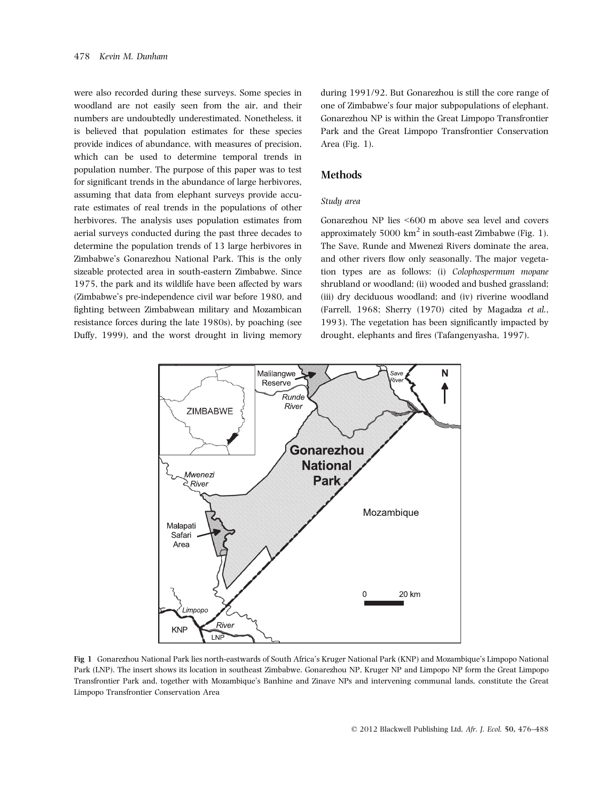were also recorded during these surveys. Some species in woodland are not easily seen from the air, and their numbers are undoubtedly underestimated. Nonetheless, it is believed that population estimates for these species provide indices of abundance, with measures of precision, which can be used to determine temporal trends in population number. The purpose of this paper was to test for significant trends in the abundance of large herbivores, assuming that data from elephant surveys provide accurate estimates of real trends in the populations of other herbivores. The analysis uses population estimates from aerial surveys conducted during the past three decades to determine the population trends of 13 large herbivores in Zimbabwe's Gonarezhou National Park. This is the only sizeable protected area in south-eastern Zimbabwe. Since 1975, the park and its wildlife have been affected by wars (Zimbabwe's pre-independence civil war before 1980, and fighting between Zimbabwean military and Mozambican resistance forces during the late 1980s), by poaching (see Duffy, 1999), and the worst drought in living memory

during 1991/92. But Gonarezhou is still the core range of one of Zimbabwe's four major subpopulations of elephant. Gonarezhou NP is within the Great Limpopo Transfrontier Park and the Great Limpopo Transfrontier Conservation Area (Fig. 1).

# Methods

#### Study area

Gonarezhou NP lies <600 m above sea level and covers approximately 5000  $km^2$  in south-east Zimbabwe (Fig. 1). The Save, Runde and Mwenezi Rivers dominate the area, and other rivers flow only seasonally. The major vegetation types are as follows: (i) Colophospermum mopane shrubland or woodland; (ii) wooded and bushed grassland; (iii) dry deciduous woodland; and (iv) riverine woodland (Farrell, 1968; Sherry (1970) cited by Magadza et al., 1993). The vegetation has been significantly impacted by drought, elephants and fires (Tafangenyasha, 1997).



Fig 1 Gonarezhou National Park lies north-eastwards of South Africa's Kruger National Park (KNP) and Mozambique's Limpopo National Park (LNP). The insert shows its location in southeast Zimbabwe. Gonarezhou NP, Kruger NP and Limpopo NP form the Great Limpopo Transfrontier Park and, together with Mozambique's Banhine and Zinave NPs and intervening communal lands, constitute the Great Limpopo Transfrontier Conservation Area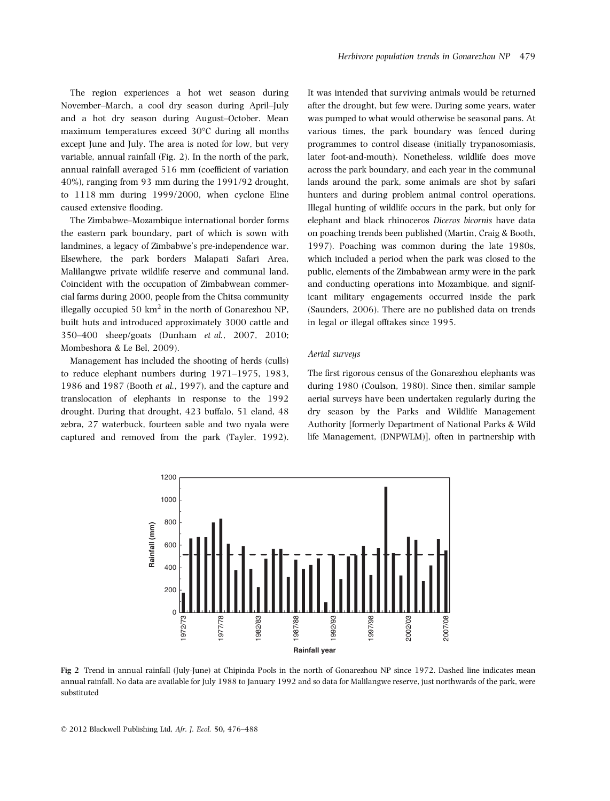The region experiences a hot wet season during November–March, a cool dry season during April–July and a hot dry season during August–October. Mean maximum temperatures exceed 30°C during all months except June and July. The area is noted for low, but very variable, annual rainfall (Fig. 2). In the north of the park, annual rainfall averaged 516 mm (coefficient of variation 40%), ranging from 93 mm during the 1991/92 drought, to 1118 mm during 1999/2000, when cyclone Eline caused extensive flooding.

The Zimbabwe–Mozambique international border forms the eastern park boundary, part of which is sown with landmines, a legacy of Zimbabwe's pre-independence war. Elsewhere, the park borders Malapati Safari Area, Malilangwe private wildlife reserve and communal land. Coincident with the occupation of Zimbabwean commercial farms during 2000, people from the Chitsa community illegally occupied 50  $km^2$  in the north of Gonarezhou NP, built huts and introduced approximately 3000 cattle and 350–400 sheep/goats (Dunham et al., 2007, 2010; Mombeshora & Le Bel, 2009).

Management has included the shooting of herds (culls) to reduce elephant numbers during 1971–1975, 1983, 1986 and 1987 (Booth et al., 1997), and the capture and translocation of elephants in response to the 1992 drought. During that drought, 423 buffalo, 51 eland, 48 zebra, 27 waterbuck, fourteen sable and two nyala were captured and removed from the park (Tayler, 1992).

It was intended that surviving animals would be returned after the drought, but few were. During some years, water was pumped to what would otherwise be seasonal pans. At various times, the park boundary was fenced during programmes to control disease (initially trypanosomiasis, later foot-and-mouth). Nonetheless, wildlife does move across the park boundary, and each year in the communal lands around the park, some animals are shot by safari hunters and during problem animal control operations. Illegal hunting of wildlife occurs in the park, but only for elephant and black rhinoceros Diceros bicornis have data on poaching trends been published (Martin, Craig & Booth, 1997). Poaching was common during the late 1980s, which included a period when the park was closed to the public, elements of the Zimbabwean army were in the park and conducting operations into Mozambique, and significant military engagements occurred inside the park (Saunders, 2006). There are no published data on trends in legal or illegal offtakes since 1995.

#### Aerial surveys

The first rigorous census of the Gonarezhou elephants was during 1980 (Coulson, 1980). Since then, similar sample aerial surveys have been undertaken regularly during the dry season by the Parks and Wildlife Management Authority [formerly Department of National Parks & Wild life Management, (DNPWLM)], often in partnership with



Fig 2 Trend in annual rainfall (July-June) at Chipinda Pools in the north of Gonarezhou NP since 1972. Dashed line indicates mean annual rainfall. No data are available for July 1988 to January 1992 and so data for Malilangwe reserve, just northwards of the park, were substituted

© 2012 Blackwell Publishing Ltd, Afr. J. Ecol. 50, 476–488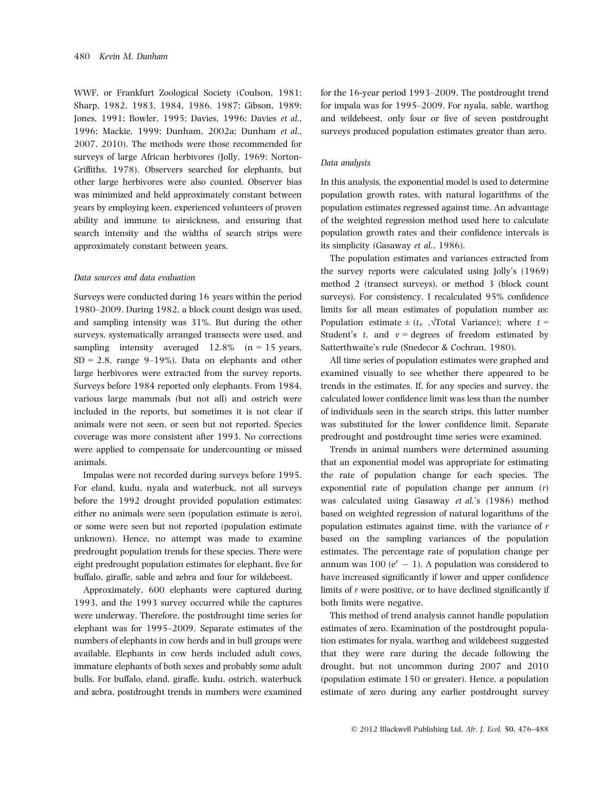WWF, or Frankfurt Zoological Society (Coulson, 1981; Sharp, 1982, 1983, 1984, 1986, 1987; Gibson, 1989; Jones, 1991; Bowler, 1995; Davies, 1996; Davies et al., 1996; Mackie, 1999; Dunham, 2002a; Dunham et al., 2007, 2010). The methods were those recommended for surveys of large African herbivores (Jolly, 1969; Norton-Griffiths, 1978). Observers searched for elephants, but other large herbivores were also counted. Observer bias was minimized and held approximately constant between years by employing keen, experienced volunteers of proven ability and immune to airsickness, and ensuring that search intensity and the widths of search strips were approximately constant between years.

#### Data sources and data evaluation

Surveys were conducted during 16 years within the period 1980–2009. During 1982, a block count design was used, and sampling intensity was 31%. But during the other surveys, systematically arranged transects were used, and sampling intensity averaged  $12.8\%$  (n = 15 years,  $SD = 2.8$ , range 9–19%). Data on elephants and other large herbivores were extracted from the survey reports. Surveys before 1984 reported only elephants. From 1984, various large mammals (but not all) and ostrich were included in the reports, but sometimes it is not clear if animals were not seen, or seen but not reported. Species coverage was more consistent after 1993. No corrections were applied to compensate for undercounting or missed animals.

Impalas were not recorded during surveys before 1995. For eland, kudu, nyala and waterbuck, not all surveys before the 1992 drought provided population estimates: either no animals were seen (population estimate is zero), or some were seen but not reported (population estimate unknown). Hence, no attempt was made to examine predrought population trends for these species. There were eight predrought population estimates for elephant, five for buffalo, giraffe, sable and zebra and four for wildebeest.

Approximately, 600 elephants were captured during 1993, and the 1993 survey occurred while the captures were underway. Therefore, the postdrought time series for elephant was for 1995–2009. Separate estimates of the numbers of elephants in cow herds and in bull groups were available. Elephants in cow herds included adult cows, immature elephants of both sexes and probably some adult bulls. For buffalo, eland, giraffe, kudu, ostrich, waterbuck and zebra, postdrought trends in numbers were examined for the 16-year period 1993–2009. The postdrought trend for impala was for 1995–2009. For nyala, sable, warthog and wildebeest, only four or five of seven postdrought surveys produced population estimates greater than zero.

#### Data analysis

In this analysis, the exponential model is used to determine population growth rates, with natural logarithms of the population estimates regressed against time. An advantage of the weighted regression method used here to calculate population growth rates and their confidence intervals is its simplicity (Gasaway et al., 1986).

The population estimates and variances extracted from the survey reports were calculated using Jolly's (1969) method 2 (transect surveys), or method 3 (block count surveys). For consistency, I recalculated 95% confidence limits for all mean estimates of population number as: Population estimate  $\pm (t_v \sqrt{\text{Total Variance}})$ ; where  $t =$ Student's t, and  $v =$  degrees of freedom estimated by Satterthwaite's rule (Snedecor & Cochran, 1980).

All time series of population estimates were graphed and examined visually to see whether there appeared to be trends in the estimates. If, for any species and survey, the calculated lower confidence limit was less than the number of individuals seen in the search strips, this latter number was substituted for the lower confidence limit. Separate predrought and postdrought time series were examined.

Trends in animal numbers were determined assuming that an exponential model was appropriate for estimating the rate of population change for each species. The exponential rate of population change per annum (r) was calculated using Gasaway et al.'s (1986) method based on weighted regression of natural logarithms of the population estimates against time, with the variance of r based on the sampling variances of the population estimates. The percentage rate of population change per annum was 100 ( $e^{r}$  – 1). A population was considered to have increased significantly if lower and upper confidence limits of r were positive, or to have declined significantly if both limits were negative.

This method of trend analysis cannot handle population estimates of zero. Examination of the postdrought population estimates for nyala, warthog and wildebeest suggested that they were rare during the decade following the drought, but not uncommon during 2007 and 2010 (population estimate 150 or greater). Hence, a population estimate of zero during any earlier postdrought survey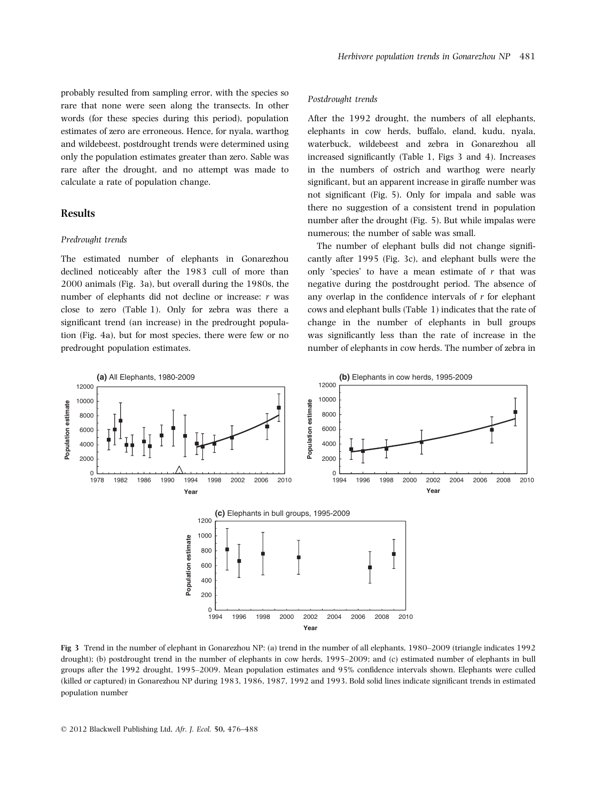probably resulted from sampling error, with the species so rare that none were seen along the transects. In other words (for these species during this period), population estimates of zero are erroneous. Hence, for nyala, warthog and wildebeest, postdrought trends were determined using only the population estimates greater than zero. Sable was rare after the drought, and no attempt was made to calculate a rate of population change.

#### Results

#### Predrought trends

The estimated number of elephants in Gonarezhou declined noticeably after the 1983 cull of more than 2000 animals (Fig. 3a), but overall during the 1980s, the number of elephants did not decline or increase: r was close to zero (Table 1). Only for zebra was there a significant trend (an increase) in the predrought population (Fig. 4a), but for most species, there were few or no predrought population estimates.

#### Postdrought trends

After the 1992 drought, the numbers of all elephants, elephants in cow herds, buffalo, eland, kudu, nyala, waterbuck, wildebeest and zebra in Gonarezhou all increased significantly (Table 1, Figs 3 and 4). Increases in the numbers of ostrich and warthog were nearly significant, but an apparent increase in giraffe number was not significant (Fig. 5). Only for impala and sable was there no suggestion of a consistent trend in population number after the drought (Fig. 5). But while impalas were numerous; the number of sable was small.

The number of elephant bulls did not change significantly after 1995 (Fig. 3c), and elephant bulls were the only 'species' to have a mean estimate of  $r$  that was negative during the postdrought period. The absence of any overlap in the confidence intervals of r for elephant cows and elephant bulls (Table 1) indicates that the rate of change in the number of elephants in bull groups was significantly less than the rate of increase in the number of elephants in cow herds. The number of zebra in



Fig 3 Trend in the number of elephant in Gonarezhou NP: (a) trend in the number of all elephants, 1980–2009 (triangle indicates 1992 drought); (b) postdrought trend in the number of elephants in cow herds, 1995–2009; and (c) estimated number of elephants in bull groups after the 1992 drought, 1995–2009. Mean population estimates and 95% confidence intervals shown. Elephants were culled (killed or captured) in Gonarezhou NP during 1983, 1986, 1987, 1992 and 1993. Bold solid lines indicate significant trends in estimated population number

© 2012 Blackwell Publishing Ltd, Afr. J. Ecol. 50, 476–488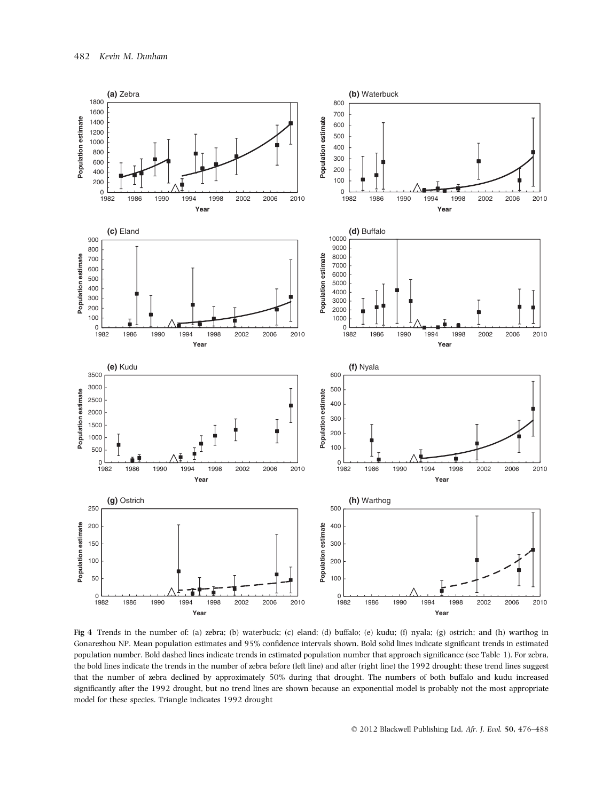

Fig 4 Trends in the number of: (a) zebra; (b) waterbuck; (c) eland; (d) buffalo; (e) kudu; (f) nyala; (g) ostrich; and (h) warthog in Gonarezhou NP. Mean population estimates and 95% confidence intervals shown. Bold solid lines indicate significant trends in estimated population number. Bold dashed lines indicate trends in estimated population number that approach significance (see Table 1). For zebra, the bold lines indicate the trends in the number of zebra before (left line) and after (right line) the 1992 drought: these trend lines suggest that the number of zebra declined by approximately 50% during that drought. The numbers of both buffalo and kudu increased significantly after the 1992 drought, but no trend lines are shown because an exponential model is probably not the most appropriate model for these species. Triangle indicates 1992 drought

© 2012 Blackwell Publishing Ltd, Afr. J. Ecol. 50, 476–488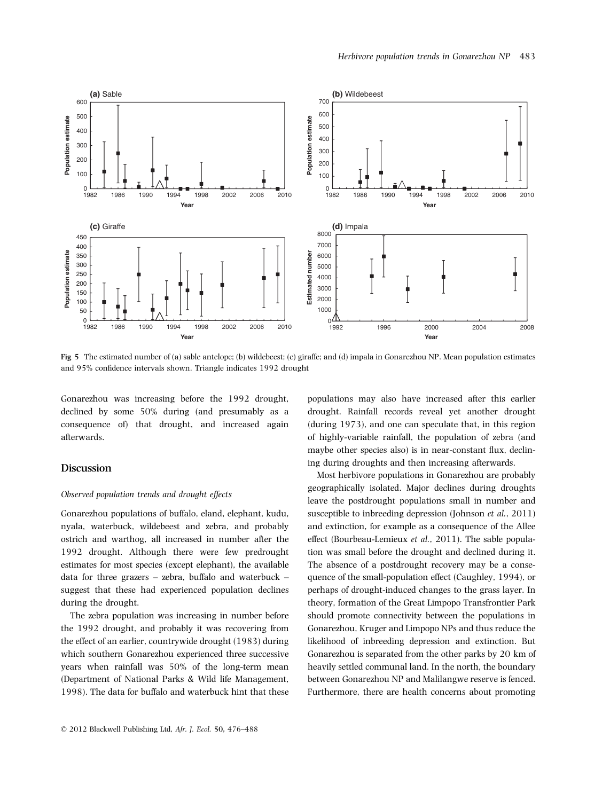

Fig 5 The estimated number of (a) sable antelope; (b) wildebeest; (c) giraffe; and (d) impala in Gonarezhou NP. Mean population estimates and 95% confidence intervals shown. Triangle indicates 1992 drought

Gonarezhou was increasing before the 1992 drought, declined by some 50% during (and presumably as a consequence of) that drought, and increased again afterwards.

### Discussion

#### Observed population trends and drought effects

Gonarezhou populations of buffalo, eland, elephant, kudu, nyala, waterbuck, wildebeest and zebra, and probably ostrich and warthog, all increased in number after the 1992 drought. Although there were few predrought estimates for most species (except elephant), the available data for three grazers – zebra, buffalo and waterbuck – suggest that these had experienced population declines during the drought.

The zebra population was increasing in number before the 1992 drought, and probably it was recovering from the effect of an earlier, countrywide drought (1983) during which southern Gonarezhou experienced three successive years when rainfall was 50% of the long-term mean (Department of National Parks & Wild life Management, 1998). The data for buffalo and waterbuck hint that these

populations may also have increased after this earlier drought. Rainfall records reveal yet another drought (during 1973), and one can speculate that, in this region of highly-variable rainfall, the population of zebra (and maybe other species also) is in near-constant flux, declining during droughts and then increasing afterwards.

Most herbivore populations in Gonarezhou are probably geographically isolated. Major declines during droughts leave the postdrought populations small in number and susceptible to inbreeding depression (Johnson et al., 2011) and extinction, for example as a consequence of the Allee effect (Bourbeau-Lemieux et al., 2011). The sable population was small before the drought and declined during it. The absence of a postdrought recovery may be a consequence of the small-population effect (Caughley, 1994), or perhaps of drought-induced changes to the grass layer. In theory, formation of the Great Limpopo Transfrontier Park should promote connectivity between the populations in Gonarezhou, Kruger and Limpopo NPs and thus reduce the likelihood of inbreeding depression and extinction. But Gonarezhou is separated from the other parks by 20 km of heavily settled communal land. In the north, the boundary between Gonarezhou NP and Malilangwe reserve is fenced. Furthermore, there are health concerns about promoting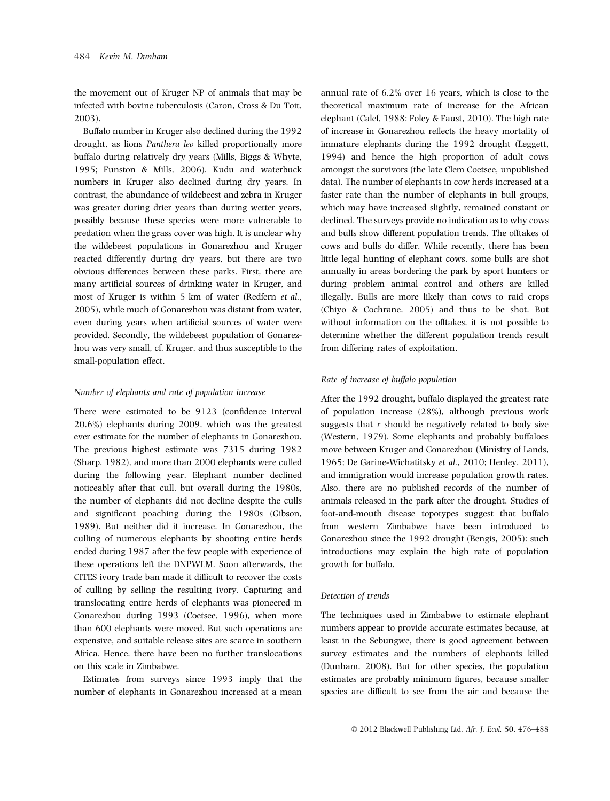the movement out of Kruger NP of animals that may be infected with bovine tuberculosis (Caron, Cross & Du Toit, 2003).

Buffalo number in Kruger also declined during the 1992 drought, as lions Panthera leo killed proportionally more buffalo during relatively dry years (Mills, Biggs & Whyte, 1995; Funston & Mills, 2006). Kudu and waterbuck numbers in Kruger also declined during dry years. In contrast, the abundance of wildebeest and zebra in Kruger was greater during drier years than during wetter years, possibly because these species were more vulnerable to predation when the grass cover was high. It is unclear why the wildebeest populations in Gonarezhou and Kruger reacted differently during dry years, but there are two obvious differences between these parks. First, there are many artificial sources of drinking water in Kruger, and most of Kruger is within 5 km of water (Redfern et al., 2005), while much of Gonarezhou was distant from water, even during years when artificial sources of water were provided. Secondly, the wildebeest population of Gonarezhou was very small, cf. Kruger, and thus susceptible to the small-population effect.

#### Number of elephants and rate of population increase

There were estimated to be 9123 (confidence interval 20.6%) elephants during 2009, which was the greatest ever estimate for the number of elephants in Gonarezhou. The previous highest estimate was 7315 during 1982 (Sharp, 1982), and more than 2000 elephants were culled during the following year. Elephant number declined noticeably after that cull, but overall during the 1980s, the number of elephants did not decline despite the culls and significant poaching during the 1980s (Gibson, 1989). But neither did it increase. In Gonarezhou, the culling of numerous elephants by shooting entire herds ended during 1987 after the few people with experience of these operations left the DNPWLM. Soon afterwards, the CITES ivory trade ban made it difficult to recover the costs of culling by selling the resulting ivory. Capturing and translocating entire herds of elephants was pioneered in Gonarezhou during 1993 (Coetsee, 1996), when more than 600 elephants were moved. But such operations are expensive, and suitable release sites are scarce in southern Africa. Hence, there have been no further translocations on this scale in Zimbabwe.

Estimates from surveys since 1993 imply that the number of elephants in Gonarezhou increased at a mean

annual rate of 6.2% over 16 years, which is close to the theoretical maximum rate of increase for the African elephant (Calef, 1988; Foley & Faust, 2010). The high rate of increase in Gonarezhou reflects the heavy mortality of immature elephants during the 1992 drought (Leggett, 1994) and hence the high proportion of adult cows amongst the survivors (the late Clem Coetsee, unpublished data). The number of elephants in cow herds increased at a faster rate than the number of elephants in bull groups, which may have increased slightly, remained constant or declined. The surveys provide no indication as to why cows and bulls show different population trends. The offtakes of cows and bulls do differ. While recently, there has been little legal hunting of elephant cows, some bulls are shot annually in areas bordering the park by sport hunters or during problem animal control and others are killed illegally. Bulls are more likely than cows to raid crops (Chiyo & Cochrane, 2005) and thus to be shot. But without information on the offtakes, it is not possible to determine whether the different population trends result from differing rates of exploitation.

#### Rate of increase of buffalo population

After the 1992 drought, buffalo displayed the greatest rate of population increase (28%), although previous work suggests that r should be negatively related to body size (Western, 1979). Some elephants and probably buffaloes move between Kruger and Gonarezhou (Ministry of Lands, 1965; De Garine-Wichatitsky et al., 2010; Henley, 2011), and immigration would increase population growth rates. Also, there are no published records of the number of animals released in the park after the drought. Studies of foot-and-mouth disease topotypes suggest that buffalo from western Zimbabwe have been introduced to Gonarezhou since the 1992 drought (Bengis, 2005): such introductions may explain the high rate of population growth for buffalo.

#### Detection of trends

The techniques used in Zimbabwe to estimate elephant numbers appear to provide accurate estimates because, at least in the Sebungwe, there is good agreement between survey estimates and the numbers of elephants killed (Dunham, 2008). But for other species, the population estimates are probably minimum figures, because smaller species are difficult to see from the air and because the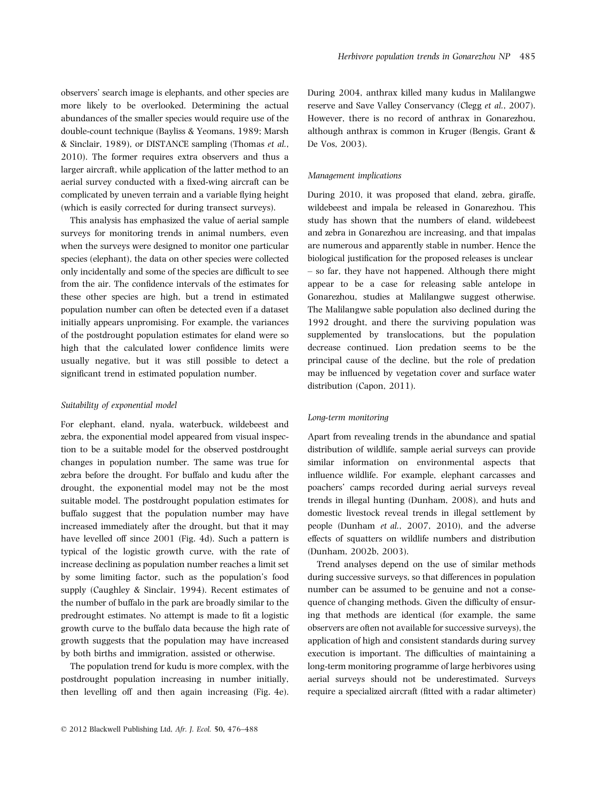observers' search image is elephants, and other species are more likely to be overlooked. Determining the actual abundances of the smaller species would require use of the double-count technique (Bayliss & Yeomans, 1989; Marsh & Sinclair, 1989), or DISTANCE sampling (Thomas et al., 2010). The former requires extra observers and thus a larger aircraft, while application of the latter method to an aerial survey conducted with a fixed-wing aircraft can be complicated by uneven terrain and a variable flying height (which is easily corrected for during transect surveys).

This analysis has emphasized the value of aerial sample surveys for monitoring trends in animal numbers, even when the surveys were designed to monitor one particular species (elephant), the data on other species were collected only incidentally and some of the species are difficult to see from the air. The confidence intervals of the estimates for these other species are high, but a trend in estimated population number can often be detected even if a dataset initially appears unpromising. For example, the variances of the postdrought population estimates for eland were so high that the calculated lower confidence limits were usually negative, but it was still possible to detect a significant trend in estimated population number.

#### Suitability of exponential model

For elephant, eland, nyala, waterbuck, wildebeest and zebra, the exponential model appeared from visual inspection to be a suitable model for the observed postdrought changes in population number. The same was true for zebra before the drought. For buffalo and kudu after the drought, the exponential model may not be the most suitable model. The postdrought population estimates for buffalo suggest that the population number may have increased immediately after the drought, but that it may have levelled off since 2001 (Fig. 4d). Such a pattern is typical of the logistic growth curve, with the rate of increase declining as population number reaches a limit set by some limiting factor, such as the population's food supply (Caughley & Sinclair, 1994). Recent estimates of the number of buffalo in the park are broadly similar to the predrought estimates. No attempt is made to fit a logistic growth curve to the buffalo data because the high rate of growth suggests that the population may have increased by both births and immigration, assisted or otherwise.

The population trend for kudu is more complex, with the postdrought population increasing in number initially, then levelling off and then again increasing (Fig. 4e). During 2004, anthrax killed many kudus in Malilangwe reserve and Save Valley Conservancy (Clegg et al., 2007). However, there is no record of anthrax in Gonarezhou, although anthrax is common in Kruger (Bengis, Grant & De Vos, 2003).

#### Management implications

During 2010, it was proposed that eland, zebra, giraffe, wildebeest and impala be released in Gonarezhou. This study has shown that the numbers of eland, wildebeest and zebra in Gonarezhou are increasing, and that impalas are numerous and apparently stable in number. Hence the biological justification for the proposed releases is unclear – so far, they have not happened. Although there might appear to be a case for releasing sable antelope in Gonarezhou, studies at Malilangwe suggest otherwise. The Malilangwe sable population also declined during the 1992 drought, and there the surviving population was supplemented by translocations, but the population decrease continued. Lion predation seems to be the principal cause of the decline, but the role of predation may be influenced by vegetation cover and surface water distribution (Capon, 2011).

#### Long-term monitoring

Apart from revealing trends in the abundance and spatial distribution of wildlife, sample aerial surveys can provide similar information on environmental aspects that influence wildlife. For example, elephant carcasses and poachers' camps recorded during aerial surveys reveal trends in illegal hunting (Dunham, 2008), and huts and domestic livestock reveal trends in illegal settlement by people (Dunham et al., 2007, 2010), and the adverse effects of squatters on wildlife numbers and distribution (Dunham, 2002b, 2003).

Trend analyses depend on the use of similar methods during successive surveys, so that differences in population number can be assumed to be genuine and not a consequence of changing methods. Given the difficulty of ensuring that methods are identical (for example, the same observers are often not available for successive surveys), the application of high and consistent standards during survey execution is important. The difficulties of maintaining a long-term monitoring programme of large herbivores using aerial surveys should not be underestimated. Surveys require a specialized aircraft (fitted with a radar altimeter)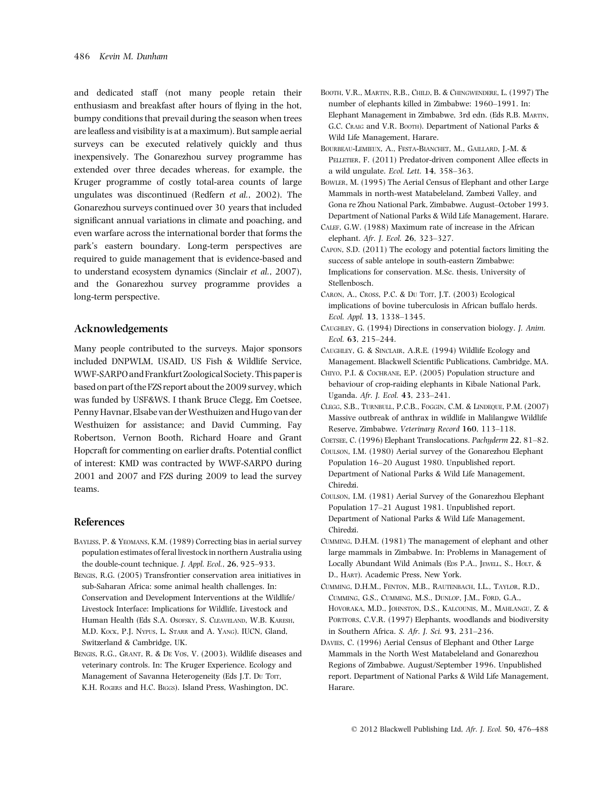and dedicated staff (not many people retain their enthusiasm and breakfast after hours of flying in the hot, bumpy conditions that prevail during the season when trees are leafless and visibility is at a maximum). But sample aerial surveys can be executed relatively quickly and thus inexpensively. The Gonarezhou survey programme has extended over three decades whereas, for example, the Kruger programme of costly total-area counts of large ungulates was discontinued (Redfern et al., 2002). The Gonarezhou surveys continued over 30 years that included significant annual variations in climate and poaching, and even warfare across the international border that forms the park's eastern boundary. Long-term perspectives are required to guide management that is evidence-based and to understand ecosystem dynamics (Sinclair et al., 2007), and the Gonarezhou survey programme provides a long-term perspective.

# Acknowledgements

Many people contributed to the surveys. Major sponsors included DNPWLM, USAID, US Fish & Wildlife Service, WWF-SARPO and Frankfurt Zoological Society. This paperis based on part of the FZS report about the 2009 survey, which was funded by USF&WS. I thank Bruce Clegg, Em Coetsee, Penny Havnar, Elsabe van der Westhuizen and Hugo van der Westhuizen for assistance; and David Cumming, Fay Robertson, Vernon Booth, Richard Hoare and Grant Hopcraft for commenting on earlier drafts. Potential conflict of interest: KMD was contracted by WWF-SARPO during 2001 and 2007 and FZS during 2009 to lead the survey teams.

#### References

- Bayliss, P. & Yeomans, K.M. (1989) Correcting bias in aerial survey population estimates of feral livestock in northern Australia using the double-count technique. J. Appl. Ecol., 26, 925–933.
- Bengis, R.G. (2005) Transfrontier conservation area initiatives in sub-Saharan Africa: some animal health challenges. In: Conservation and Development Interventions at the Wildlife/ Livestock Interface: Implications for Wildlife, Livestock and Human Health (Eds S.A. OSOFSKY, S. CLEAVELAND, W.B. KARESH, M.D. KOCK, P.J. NYPUS, L. STARR and A. YANG). IUCN, Gland, Switzerland & Cambridge, UK.
- BENGIS, R.G., GRANT, R. & DE VOS, V. (2003). Wildlife diseases and veterinary controls. In: The Kruger Experience. Ecology and Management of Savanna Heterogeneity (Eds J.T. Du Torr, K.H. ROGERS and H.C. BIGGS). Island Press, Washington, DC.
- Booth, V.R., Martin, R.B., Child, B. & Chingwendere, L. (1997) The number of elephants killed in Zimbabwe: 1960–1991. In: Elephant Management in Zimbabwe, 3rd edn. (Eds R.B. MARTIN, G.C. CRAIG and V.R. BOOTH). Department of National Parks & Wild Life Management, Harare.
- Bourbeau-Lemieux, A., Festa-Bianchet, M., Gaillard, J.-M. & PELLETIER, F. (2011) Predator-driven component Allee effects in a wild ungulate. Ecol. Lett. 14, 358–363.
- Bowler, M. (1995) The Aerial Census of Elephant and other Large Mammals in north-west Matabeleland, Zambezi Valley, and Gona re Zhou National Park, Zimbabwe. August–October 1993. Department of National Parks & Wild Life Management, Harare.
- Calef, G.W. (1988) Maximum rate of increase in the African elephant. Afr. J. Ecol. 26, 323–327.
- Capon, S.D. (2011) The ecology and potential factors limiting the success of sable antelope in south-eastern Zimbabwe: Implications for conservation. M.Sc. thesis, University of Stellenbosch.
- CARON, A., CROSS, P.C. & DU TOIT, J.T. (2003) Ecological implications of bovine tuberculosis in African buffalo herds. Ecol. Appl. 13, 1338–1345.
- Caughley, G. (1994) Directions in conservation biology. J. Anim. Ecol. 63, 215–244.
- Caughley, G. & Sinclair, A.R.E. (1994) Wildlife Ecology and Management. Blackwell Scientific Publications, Cambridge, MA.
- Chiyo, P.I. & Cochrane, E.P. (2005) Population structure and behaviour of crop-raiding elephants in Kibale National Park, Uganda. Afr. J. Ecol. 43, 233–241.
- Clegg, S.B., Turnbull, P.C.B., Foggin, C.M. & Lindeque, P.M. (2007) Massive outbreak of anthrax in wildlife in Malilangwe Wildlife Reserve, Zimbabwe. Veterinary Record 160, 113–118.
- COETSEE, C. (1996) Elephant Translocations. Pachyderm 22, 81-82.
- Coulson, I.M. (1980) Aerial survey of the Gonarezhou Elephant Population 16–20 August 1980. Unpublished report. Department of National Parks & Wild Life Management, Chiredzi.
- Coulson, I.M. (1981) Aerial Survey of the Gonarezhou Elephant Population 17–21 August 1981. Unpublished report. Department of National Parks & Wild Life Management, Chiredzi.
- Cumming, D.H.M. (1981) The management of elephant and other large mammals in Zimbabwe. In: Problems in Management of Locally Abundant Wild Animals (EDS P.A., JEWELL, S., HOLT, & D., HART). Academic Press, New York.
- Cumming, D.H.M., Fenton, M.B., Rautenbach, I.L., Taylor, R.D., Cumming, G.S., Cumming, M.S., Dunlop, J.M., Ford, G.A., Hovoraka, M.D., Johnston, D.S., Kalcounis, M., Mahlangu, Z. & PORTFORS, C.V.R. (1997) Elephants, woodlands and biodiversity in Southern Africa. S. Afr. J. Sci. 93, 231–236.
- Davies, C. (1996) Aerial Census of Elephant and Other Large Mammals in the North West Matabeleland and Gonarezhou Regions of Zimbabwe. August/September 1996. Unpublished report. Department of National Parks & Wild Life Management, Harare.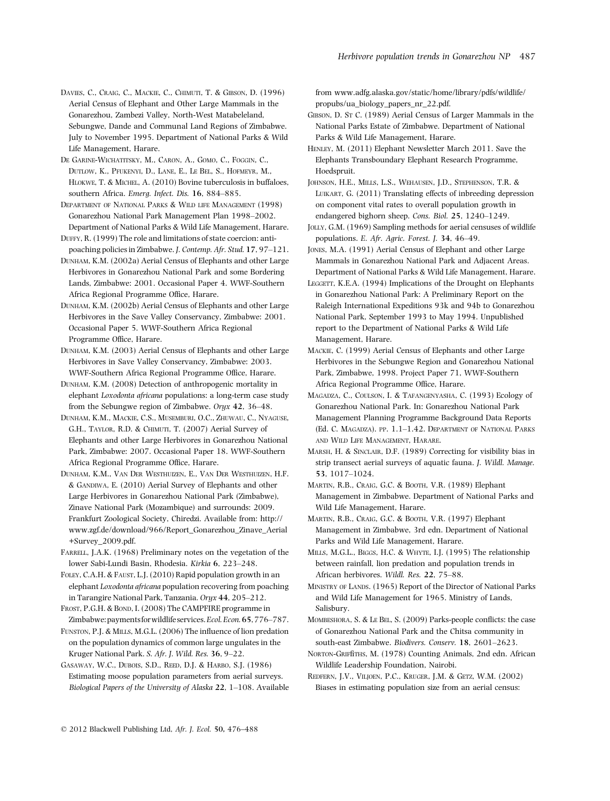Davies, C., Craig, C., Mackie, C., Chimuti, T. & Gibson, D. (1996) Aerial Census of Elephant and Other Large Mammals in the Gonarezhou, Zambezi Valley, North-West Matabeleland, Sebungwe, Dande and Communal Land Regions of Zimbabwe. July to November 1995. Department of National Parks & Wild Life Management, Harare.

De Garine-Wichatitsky, M., Caron, A., Gomo, C., Foggin, C., Dutlow, K., Pfukenyi, D., Lane, E., Le Bel, S., Hofmeyr, M., Hlokwe, T. & Michel, A. (2010) Bovine tuberculosis in buffaloes, southern Africa. Emerg. Infect. Dis. 16, 884–885.

Department of National Parks & Wild life Management (1998) Gonarezhou National Park Management Plan 1998–2002. Department of National Parks & Wild Life Management, Harare.

Duffy, R. (1999) The role and limitations of state coercion: antipoaching policies in Zimbabwe. J. Contemp. Afr. Stud. 17, 97–121.

Dunham, K.M. (2002a) Aerial Census of Elephants and other Large Herbivores in Gonarezhou National Park and some Bordering Lands, Zimbabwe: 2001. Occasional Paper 4. WWF-Southern Africa Regional Programme Office, Harare.

Dunham, K.M. (2002b) Aerial Census of Elephants and other Large Herbivores in the Save Valley Conservancy, Zimbabwe: 2001. Occasional Paper 5. WWF-Southern Africa Regional Programme Office, Harare.

Dunham, K.M. (2003) Aerial Census of Elephants and other Large Herbivores in Save Valley Conservancy, Zimbabwe: 2003. WWF-Southern Africa Regional Programme Office, Harare.

Dunham, K.M. (2008) Detection of anthropogenic mortality in elephant Loxodonta africana populations: a long-term case study from the Sebungwe region of Zimbabwe. Oryx 42, 36–48.

Dunham, K.M., Mackie, C.S., Musemburi, O.C., Zhuwau, C., Nyaguse, G.H., TAYLOR, R.D. & CHIMUTI, T. (2007) Aerial Survey of Elephants and other Large Herbivores in Gonarezhou National Park, Zimbabwe: 2007. Occasional Paper 18. WWF-Southern Africa Regional Programme Office, Harare.

Dunham, K.M., Van Der Westhuizen, E., Van Der Westhuizen, H.F. & GANDIWA, E. (2010) Aerial Survey of Elephants and other Large Herbivores in Gonarezhou National Park (Zimbabwe), Zinave National Park (Mozambique) and surrounds: 2009. Frankfurt Zoological Society, Chiredzi. Available from: http:// www.zgf.de/download/966/Report\_Gonarezhou\_Zinave\_Aerial +Survey\_2009.pdf.

FARRELL, J.A.K. (1968) Preliminary notes on the vegetation of the lower Sabi-Lundi Basin, Rhodesia. Kirkia 6, 223–248.

FOLEY, C.A.H. & FAUST, L.J. (2010) Rapid population growth in an elephant Loxodonta africana population recovering from poaching in Tarangire National Park, Tanzania. Oryx 44, 205–212.

FROST, P.G.H. & BOND, I. (2008) The CAMPFIRE programme in Zimbabwe:paymentsforwildlife services.Ecol.Econ.65,776–787.

Funston, P.J. & Mills, M.G.L. (2006) The influence of lion predation on the population dynamics of common large ungulates in the Kruger National Park. S. Afr. J. Wild. Res. 36, 9–22.

Gasaway, W.C., Dubois, S.D., Reed, D.J. & Harbo, S.J. (1986) Estimating moose population parameters from aerial surveys. Biological Papers of the University of Alaska 22, 1–108. Available from www.adfg.alaska.gov/static/home/library/pdfs/wildlife/ propubs/ua\_biology\_papers\_nr\_22.pdf.

GIBSON, D. St C. (1989) Aerial Census of Larger Mammals in the National Parks Estate of Zimbabwe. Department of National Parks & Wild Life Management, Harare.

HENLEY, M. (2011) Elephant Newsletter March 2011. Save the Elephants Transboundary Elephant Research Programme, Hoedspruit.

Johnson, H.E., Mills, L.S., Wehausen, J.D., Stephenson, T.R. & Luikart, G. (2011) Translating effects of inbreeding depression on component vital rates to overall population growth in endangered bighorn sheep. Cons. Biol. 25, 1240–1249.

Jolly, G.M. (1969) Sampling methods for aerial censuses of wildlife populations. E. Afr. Agric. Forest. J. 34, 46–49.

Jones, M.A. (1991) Aerial Census of Elephant and other Large Mammals in Gonarezhou National Park and Adjacent Areas. Department of National Parks & Wild Life Management, Harare.

LEGGETT, K.E.A. (1994) Implications of the Drought on Elephants in Gonarezhou National Park: A Preliminary Report on the Raleigh International Expeditions 93k and 94b to Gonarezhou National Park, September 1993 to May 1994. Unpublished report to the Department of National Parks & Wild Life Management, Harare.

Mackie, C. (1999) Aerial Census of Elephants and other Large Herbivores in the Sebungwe Region and Gonarezhou National Park, Zimbabwe, 1998. Project Paper 71, WWF-Southern Africa Regional Programme Office, Harare.

Magadza, C., Coulson, I. & Tafangenyasha, C. (1993) Ecology of Gonarezhou National Park. In: Gonarezhou National Park Management Planning Programme Background Data Reports (Ed. C. Magadza). pp. 1.1–1.42. Department of National Parks and Wild Life Management, Harare.

Marsh, H. & Sinclair, D.F. (1989) Correcting for visibility bias in strip transect aerial surveys of aquatic fauna. J. Wildl. Manage. 53, 1017–1024.

Martin, R.B., Craig, G.C. & Booth, V.R. (1989) Elephant Management in Zimbabwe. Department of National Parks and Wild Life Management, Harare.

Martin, R.B., Craig, G.C. & Booth, V.R. (1997) Elephant Management in Zimbabwe, 3rd edn. Department of National Parks and Wild Life Management, Harare.

Mills, M.G.L., Biggs, H.C. & Whyte, I.J. (1995) The relationship between rainfall, lion predation and population trends in African herbivores. Wildl. Res. 22, 75–88.

MINISTRY OF LANDS. (1965) Report of the Director of National Parks and Wild Life Management for 1965. Ministry of Lands, Salisbury.

Mombeshora, S. & Le Bel, S. (2009) Parks-people conflicts: the case of Gonarezhou National Park and the Chitsa community in south-east Zimbabwe. Biodivers. Conserv. 18, 2601–2623.

Norton-Griffiths, M. (1978) Counting Animals, 2nd edn. African Wildlife Leadership Foundation, Nairobi.

REDFERN, J.V., VILJOEN, P.C., KRUGER, J.M. & GETZ, W.M. (2002) Biases in estimating population size from an aerial census: